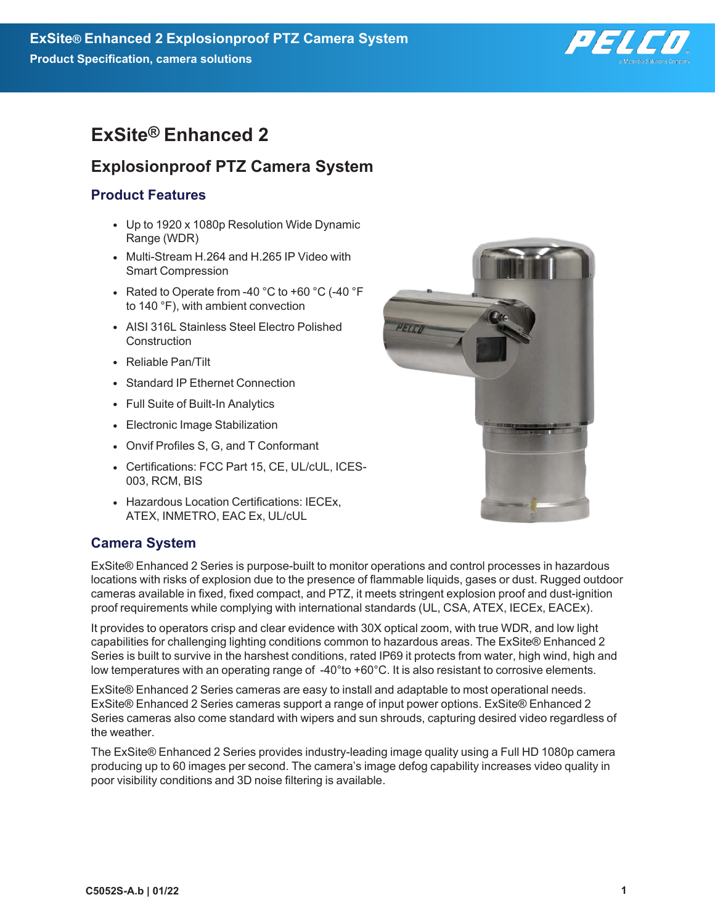

## **ExSite® Enhanced 2**

## **Explosionproof PTZ Camera System**

## **Product Features**

- Up to 1920 x 1080p Resolution Wide Dynamic Range (WDR)
- Multi-Stream H.264 and H.265 IP Video with Smart Compression
- Rated to Operate from -40  $^{\circ}$ C to +60  $^{\circ}$ C (-40  $^{\circ}$ F to 140 °F), with ambient convection
- AISI 316L Stainless Steel Electro Polished **Construction**
- Reliable Pan/Tilt
- Standard IP Ethernet Connection
- Full Suite of Built-In Analytics
- Electronic Image Stabilization
- Onvif Profiles S, G, and T Conformant
- Certifications: FCC Part 15, CE, UL/cUL, ICES-003, RCM, BIS
- Hazardous Location Certifications: IECEx, ATEX, INMETRO, EAC Ex, UL/cUL

# **Camera System**

ExSite® Enhanced 2 Series is purpose-built to monitor operations and control processes in hazardous locations with risks of explosion due to the presence of flammable liquids, gases or dust. Rugged outdoor cameras available in fixed, fixed compact, and PTZ, it meets stringent explosion proof and dust-ignition proof requirements while complying with international standards (UL, CSA, ATEX, IECEx, EACEx).

It provides to operators crisp and clear evidence with 30X optical zoom, with true WDR, and low light capabilities for challenging lighting conditions common to hazardous areas. The ExSite® Enhanced 2 Series is built to survive in the harshest conditions, rated IP69 it protects from water, high wind, high and low temperatures with an operating range of -40°to +60°C. It is also resistant to corrosive elements.

ExSite® Enhanced 2 Series cameras are easy to install and adaptable to most operational needs. ExSite® Enhanced 2 Series cameras support a range of input power options. ExSite® Enhanced 2 Series cameras also come standard with wipers and sun shrouds, capturing desired video regardless of the weather.

The ExSite® Enhanced 2 Series provides industry-leading image quality using a Full HD 1080p camera producing up to 60 images per second. The camera's image defog capability increases video quality in poor visibility conditions and 3D noise filtering is available.

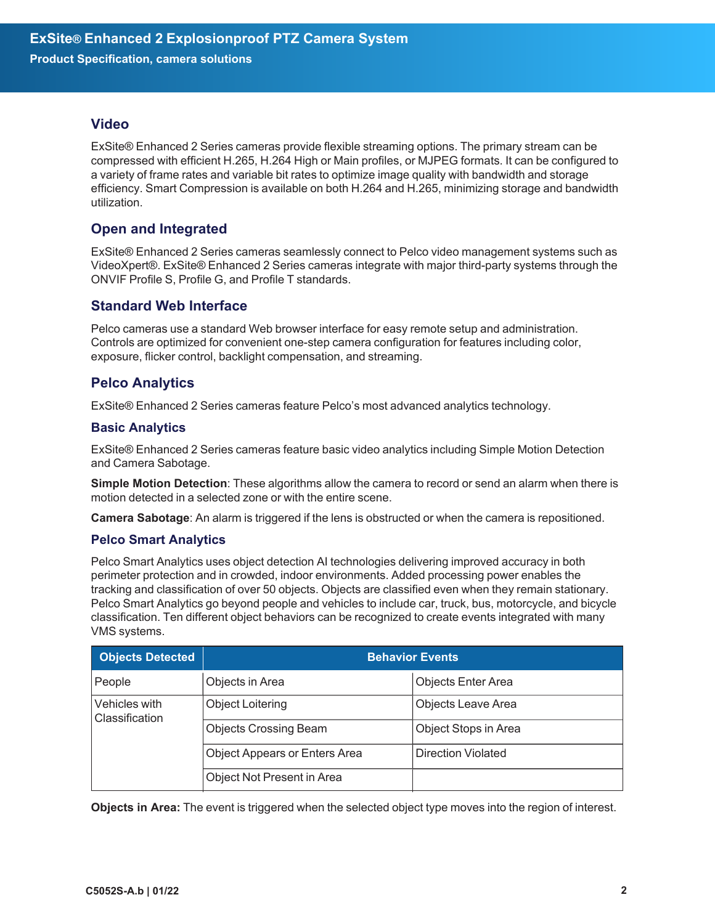#### **Video**

ExSite® Enhanced 2 Series cameras provide flexible streaming options. The primary stream can be compressed with efficient H.265, H.264 High or Main profiles, or MJPEG formats. It can be configured to a variety of frame rates and variable bit rates to optimize image quality with bandwidth and storage efficiency. Smart Compression is available on both H.264 and H.265, minimizing storage and bandwidth utilization.

## **Open and Integrated**

ExSite® Enhanced 2 Series cameras seamlessly connect to Pelco video management systems such as VideoXpert®. ExSite® Enhanced 2 Series cameras integrate with major third-party systems through the ONVIF Profile S, Profile G, and Profile T standards.

### **Standard Web Interface**

Pelco cameras use a standard Web browser interface for easy remote setup and administration. Controls are optimized for convenient one-step camera configuration for features including color, exposure, flicker control, backlight compensation, and streaming.

## **Pelco Analytics**

ExSite® Enhanced 2 Series cameras feature Pelco's most advanced analytics technology.

#### **Basic Analytics**

ExSite® Enhanced 2 Series cameras feature basic video analytics including Simple Motion Detection and Camera Sabotage.

**Simple Motion Detection**: These algorithms allow the camera to record or send an alarm when there is motion detected in a selected zone or with the entire scene.

**Camera Sabotage**: An alarm is triggered if the lens is obstructed or when the camera is repositioned.

#### **Pelco Smart Analytics**

Pelco Smart Analytics uses object detection AI technologies delivering improved accuracy in both perimeter protection and in crowded, indoor environments. Added processing power enables the tracking and classification of over 50 objects. Objects are classified even when they remain stationary. Pelco Smart Analytics go beyond people and vehicles to include car, truck, bus, motorcycle, and bicycle classification. Ten different object behaviors can be recognized to create events integrated with many VMS systems.

| <b>Objects Detected</b>         | <b>Behavior Events</b>        |                           |
|---------------------------------|-------------------------------|---------------------------|
| People                          | Objects in Area               | <b>Objects Enter Area</b> |
| Vehicles with<br>Classification | <b>Object Loitering</b>       | Objects Leave Area        |
|                                 | <b>Objects Crossing Beam</b>  | Object Stops in Area      |
|                                 | Object Appears or Enters Area | Direction Violated        |
|                                 | Object Not Present in Area    |                           |

**Objects in Area:** The event is triggered when the selected object type moves into the region of interest.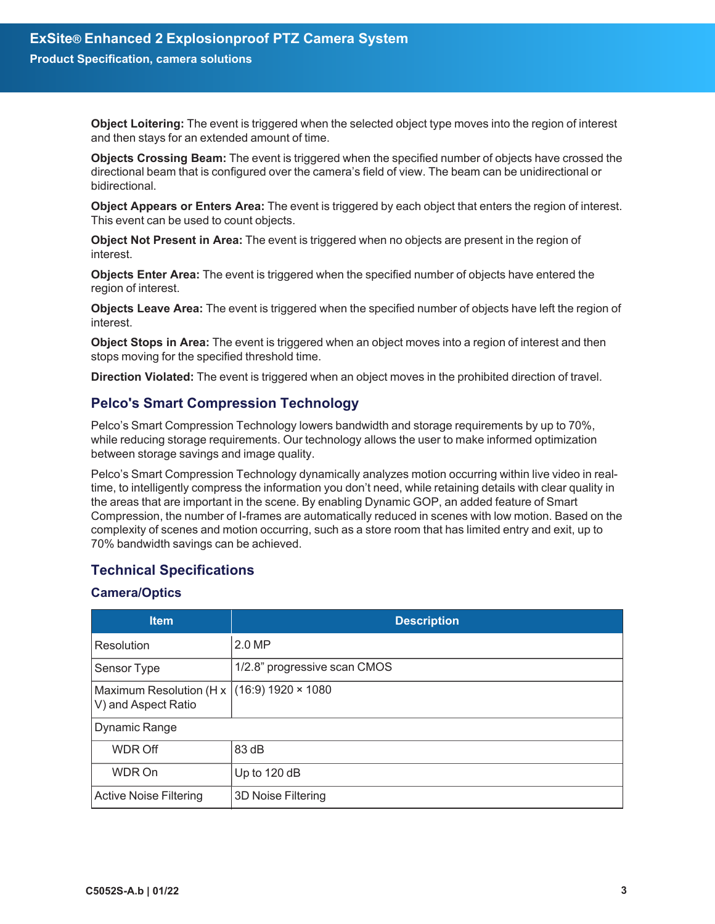**Object Loitering:** The event is triggered when the selected object type moves into the region of interest and then stays for an extended amount of time.

**Objects Crossing Beam:** The event is triggered when the specified number of objects have crossed the directional beam that is configured over the camera's field of view. The beam can be unidirectional or bidirectional.

**Object Appears or Enters Area:** The event is triggered by each object that enters the region of interest. This event can be used to count objects.

**Object Not Present in Area:** The event is triggered when no objects are present in the region of interest.

**Objects Enter Area:** The event is triggered when the specified number of objects have entered the region of interest.

**Objects Leave Area:** The event is triggered when the specified number of objects have left the region of interest.

**Object Stops in Area:** The event is triggered when an object moves into a region of interest and then stops moving for the specified threshold time.

**Direction Violated:** The event is triggered when an object moves in the prohibited direction of travel.

### **Pelco's Smart Compression Technology**

Pelco's Smart Compression Technology lowers bandwidth and storage requirements by up to 70%, while reducing storage requirements. Our technology allows the user to make informed optimization between storage savings and image quality.

Pelco's Smart Compression Technology dynamically analyzes motion occurring within live video in realtime, to intelligently compress the information you don't need, while retaining details with clear quality in the areas that are important in the scene. By enabling Dynamic GOP, an added feature of Smart Compression, the number of I-frames are automatically reduced in scenes with low motion. Based on the complexity of scenes and motion occurring, such as a store room that has limited entry and exit, up to 70% bandwidth savings can be achieved.

## **Technical Specifications**

#### **Camera/Optics**

| <b>Item</b>                                                         | <b>Description</b>           |  |
|---------------------------------------------------------------------|------------------------------|--|
| Resolution                                                          | 2.0 MP                       |  |
| Sensor Type                                                         | 1/2.8" progressive scan CMOS |  |
| Maximum Resolution (H x   (16:9) 1920 × 1080<br>V) and Aspect Ratio |                              |  |
| Dynamic Range                                                       |                              |  |
| WDR Off                                                             | 83 dB                        |  |
| WDR On                                                              | Up to 120 dB                 |  |
| <b>Active Noise Filtering</b>                                       | 3D Noise Filtering           |  |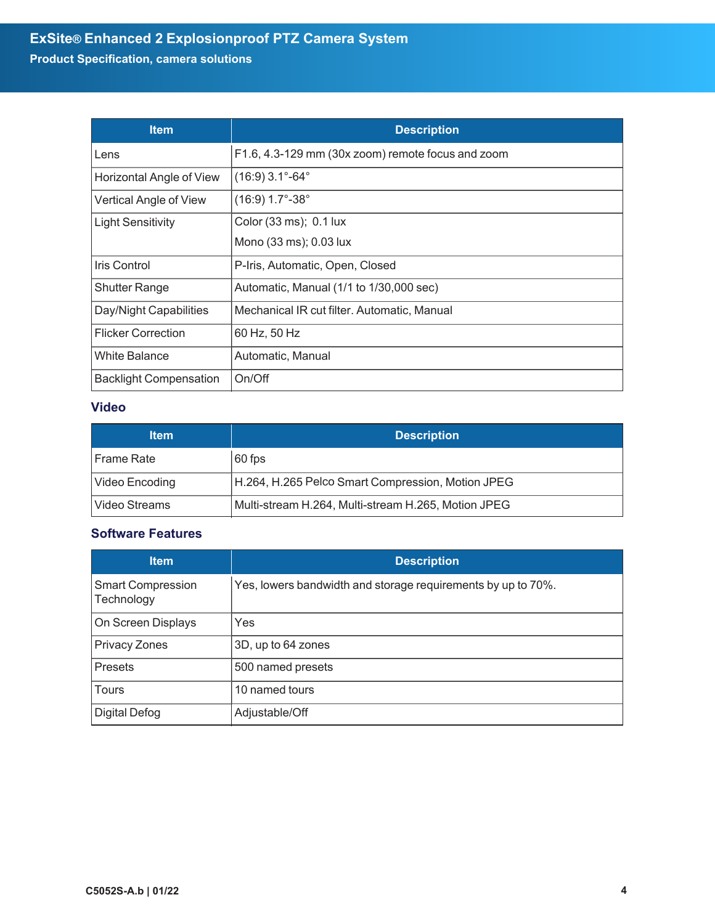| <b>Item</b>                   | <b>Description</b>                                |
|-------------------------------|---------------------------------------------------|
| Lens                          | F1.6, 4.3-129 mm (30x zoom) remote focus and zoom |
| Horizontal Angle of View      | $(16:9)$ 3.1°-64°                                 |
| Vertical Angle of View        | $(16:9)$ 1.7°-38°                                 |
| <b>Light Sensitivity</b>      | Color (33 ms); 0.1 lux                            |
|                               | Mono (33 ms); 0.03 lux                            |
| Iris Control                  | P-Iris, Automatic, Open, Closed                   |
| <b>Shutter Range</b>          | Automatic, Manual (1/1 to 1/30,000 sec)           |
| Day/Night Capabilities        | Mechanical IR cut filter. Automatic, Manual       |
| <b>Flicker Correction</b>     | 60 Hz, 50 Hz                                      |
| <b>White Balance</b>          | Automatic, Manual                                 |
| <b>Backlight Compensation</b> | On/Off                                            |

## **Video**

| <b>Item</b>       | <b>Description</b>                                  |
|-------------------|-----------------------------------------------------|
| <b>Frame Rate</b> | $60$ fps                                            |
| Video Encoding    | H.264, H.265 Pelco Smart Compression, Motion JPEG   |
| Video Streams     | Multi-stream H.264, Multi-stream H.265, Motion JPEG |

## **Software Features**

| <b>Item</b>                            | <b>Description</b>                                           |
|----------------------------------------|--------------------------------------------------------------|
| <b>Smart Compression</b><br>Technology | Yes, lowers bandwidth and storage requirements by up to 70%. |
| On Screen Displays                     | Yes                                                          |
| <b>Privacy Zones</b>                   | 3D, up to 64 zones                                           |
| <b>Presets</b>                         | 500 named presets                                            |
| <b>Tours</b>                           | 10 named tours                                               |
| <b>Digital Defog</b>                   | Adjustable/Off                                               |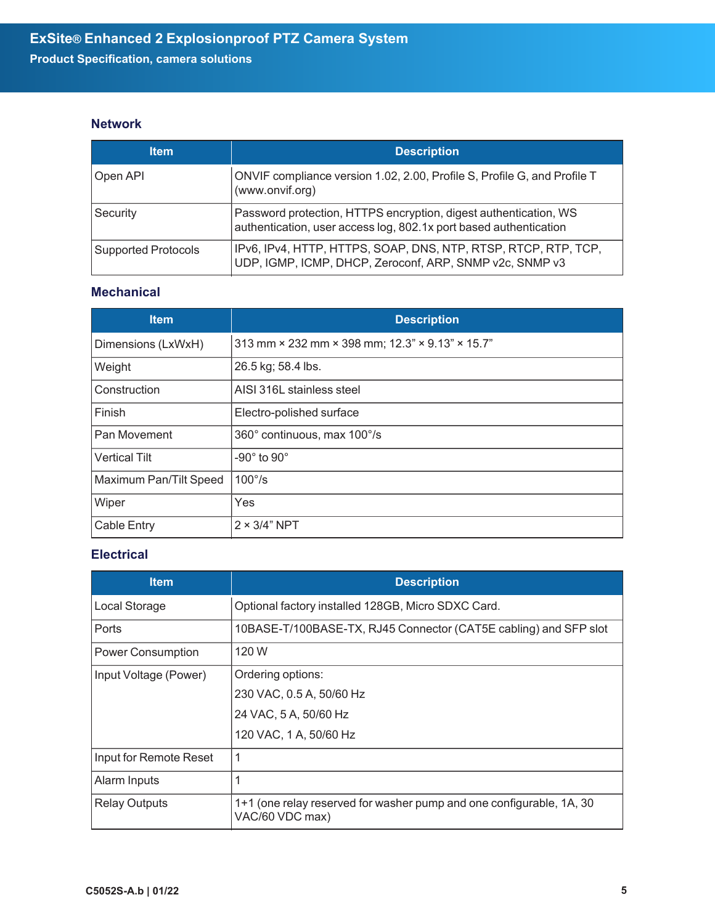## **Network**

| <b>Item</b>         | <b>Description</b>                                                                                                                    |
|---------------------|---------------------------------------------------------------------------------------------------------------------------------------|
| Open API            | ONVIF compliance version 1.02, 2.00, Profile S, Profile G, and Profile T<br>(www.onvif.org)                                           |
| Security            | Password protection, HTTPS encryption, digest authentication, WS<br>authentication, user access log, 802.1x port based authentication |
| Supported Protocols | IPv6, IPv4, HTTP, HTTPS, SOAP, DNS, NTP, RTSP, RTCP, RTP, TCP,<br>UDP, IGMP, ICMP, DHCP, Zeroconf, ARP, SNMP v2c, SNMP v3             |

## **Mechanical**

| <b>Item</b>            | <b>Description</b>                              |
|------------------------|-------------------------------------------------|
| Dimensions (LxWxH)     | 313 mm × 232 mm × 398 mm; 12.3" × 9.13" × 15.7" |
| Weight                 | 26.5 kg; 58.4 lbs.                              |
| Construction           | AISI 316L stainless steel                       |
| Finish                 | Electro-polished surface                        |
| Pan Movement           | 360° continuous, max 100°/s                     |
| <b>Vertical Tilt</b>   | $-90^\circ$ to $90^\circ$                       |
| Maximum Pan/Tilt Speed | $100^{\circ}/s$                                 |
| Wiper                  | Yes                                             |
| <b>Cable Entry</b>     | $2 \times 3/4$ " NPT                            |

## **Electrical**

| <b>Item</b>              | <b>Description</b>                                                                      |
|--------------------------|-----------------------------------------------------------------------------------------|
| Local Storage            | Optional factory installed 128GB, Micro SDXC Card.                                      |
| Ports                    | 10BASE-T/100BASE-TX, RJ45 Connector (CAT5E cabling) and SFP slot                        |
| <b>Power Consumption</b> | 120 W                                                                                   |
| Input Voltage (Power)    | Ordering options:                                                                       |
|                          | 230 VAC, 0.5 A, 50/60 Hz                                                                |
|                          | 24 VAC, 5 A, 50/60 Hz                                                                   |
|                          | 120 VAC, 1 A, 50/60 Hz                                                                  |
| Input for Remote Reset   | 1                                                                                       |
| Alarm Inputs             |                                                                                         |
| <b>Relay Outputs</b>     | 1+1 (one relay reserved for washer pump and one configurable, 1A, 30<br>VAC/60 VDC max) |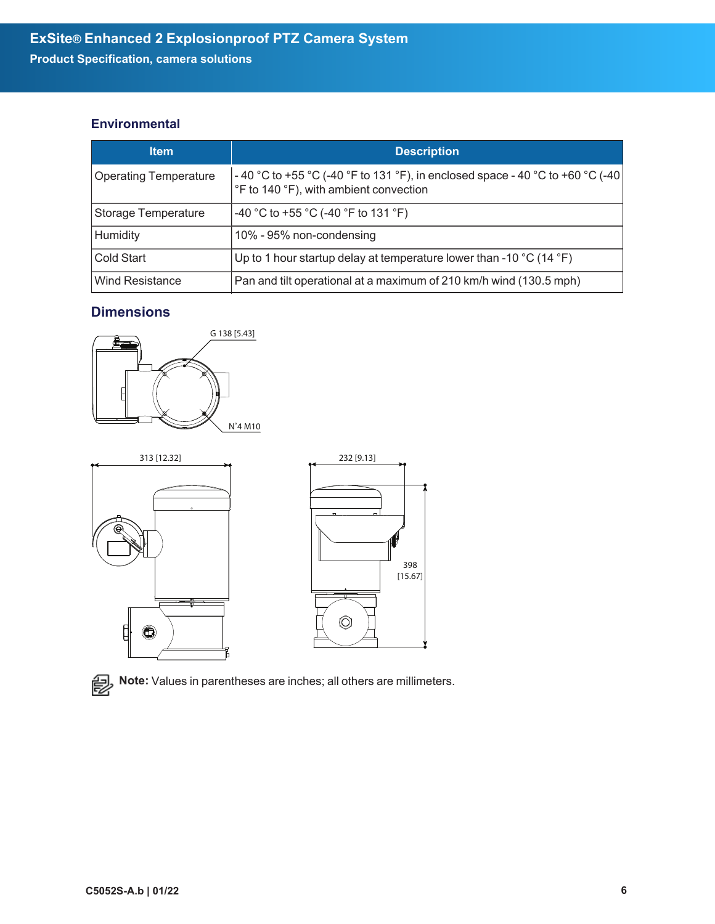#### **Environmental**

| <b>Item</b>                  | <b>Description</b>                                                                                                     |
|------------------------------|------------------------------------------------------------------------------------------------------------------------|
| <b>Operating Temperature</b> | -40 °C to +55 °C (-40 °F to 131 °F), in enclosed space -40 °C to +60 °C (-40<br>°F to 140 °F), with ambient convection |
| Storage Temperature          | -40 °C to +55 °C (-40 °F to 131 °F)                                                                                    |
| Humidity                     | 10% - 95% non-condensing                                                                                               |
| Cold Start                   | Up to 1 hour startup delay at temperature lower than -10 $^{\circ}$ C (14 $^{\circ}$ F)                                |
| Wind Resistance              | Pan and tilt operational at a maximum of 210 km/h wind (130.5 mph)                                                     |

## **Dimensions**









**Note:** Values in parentheses are inches; all others are millimeters.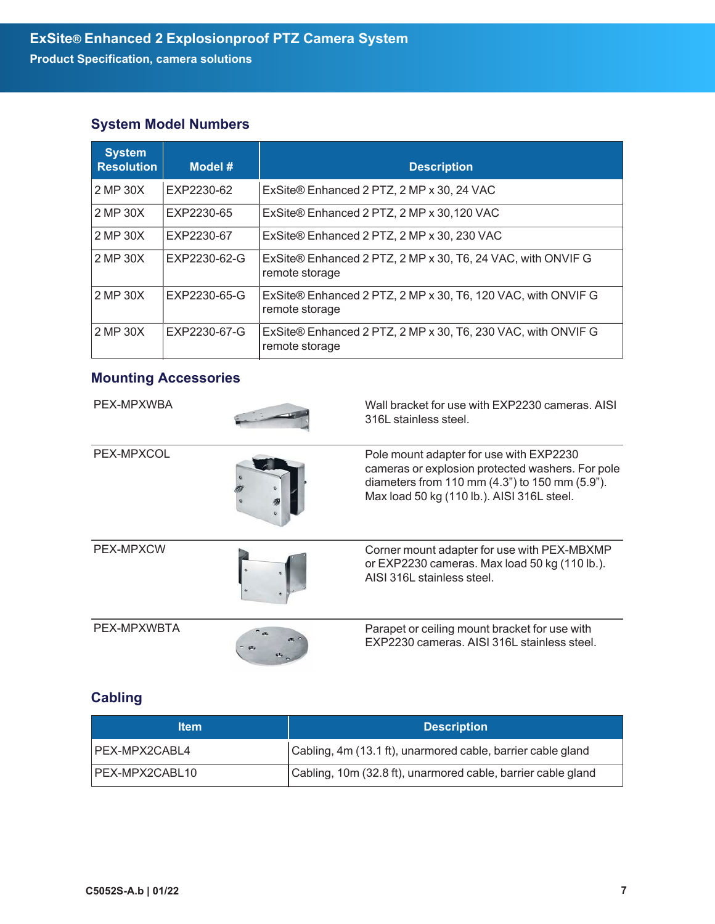## **System Model Numbers**

| <b>System</b><br><b>Resolution</b> | Model #      | <b>Description</b>                                                             |
|------------------------------------|--------------|--------------------------------------------------------------------------------|
| 2 MP 30X                           | EXP2230-62   | ExSite® Enhanced 2 PTZ, 2 MP x 30, 24 VAC                                      |
| 2 MP 30X                           | EXP2230-65   | ExSite® Enhanced 2 PTZ, 2 MP x 30,120 VAC                                      |
| 2 MP 30X                           | EXP2230-67   | ExSite® Enhanced 2 PTZ, 2 MP x 30, 230 VAC                                     |
| 2 MP 30X                           | EXP2230-62-G | ExSite® Enhanced 2 PTZ, 2 MP x 30, T6, 24 VAC, with ONVIF G<br>remote storage  |
| 2 MP 30X                           | EXP2230-65-G | ExSite® Enhanced 2 PTZ, 2 MP x 30, T6, 120 VAC, with ONVIF G<br>remote storage |
| 2 MP 30X                           | EXP2230-67-G | ExSite® Enhanced 2 PTZ, 2 MP x 30, T6, 230 VAC, with ONVIF G<br>remote storage |

## **Mounting Accessories**



PEX-MPXWBA Wall bracket for use with EXP2230 cameras. AISI 316L stainless steel.

| PEX-MPXCOL       | Pole mount adapter for use with EXP2230<br>cameras or explosion protected washers. For pole<br>diameters from 110 mm (4.3") to 150 mm (5.9").<br>Max load 50 kg (110 lb.). AISI 316L steel. |
|------------------|---------------------------------------------------------------------------------------------------------------------------------------------------------------------------------------------|
| <b>PEX-MPXCW</b> | Corner mount adapter for use with PEX-MBXMP<br>or EXP2230 cameras. Max load 50 kg (110 lb.).<br>AISI 316L stainless steel.                                                                  |
|                  |                                                                                                                                                                                             |



PEX-MPXWBTA Parapet or ceiling mount bracket for use with<br>EXP2230 cameras. AISI 316L stainless steel. EXP2230 cameras. AISI 316L stainless steel.

## **Cabling**

| ltem           | <b>Description</b>                                           |
|----------------|--------------------------------------------------------------|
| IPEX-MPX2CABL4 | Cabling, 4m (13.1 ft), unarmored cable, barrier cable gland  |
| PEX-MPX2CABL10 | Cabling, 10m (32.8 ft), unarmored cable, barrier cable gland |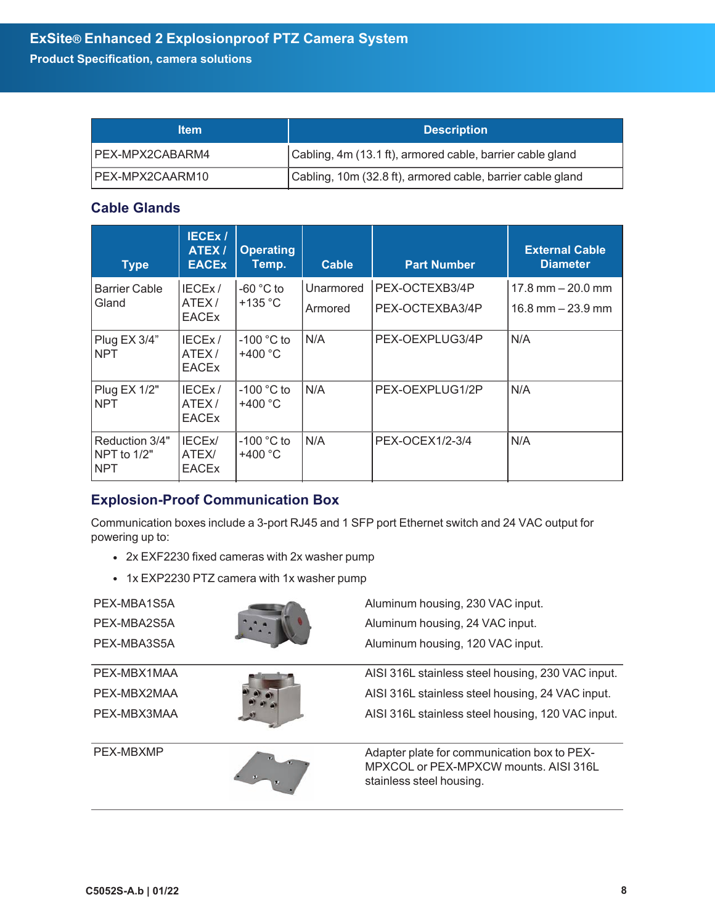| ltem             | <b>Description</b>                                         |  |  |
|------------------|------------------------------------------------------------|--|--|
| IPEX-MPX2CABARM4 | Cabling, 4m (13.1 ft), armored cable, barrier cable gland  |  |  |
| IPEX-MPX2CAARM10 | Cabling, 10m (32.8 ft), armored cable, barrier cable gland |  |  |

## **Cable Glands**

| <b>Type</b>                                   | <b>IECEX/</b><br><b>ATEX/</b><br><b>EACEX</b> | <b>Operating</b><br>Temp.         | <b>Cable</b> | <b>Part Number</b> | <b>External Cable</b><br><b>Diameter</b> |
|-----------------------------------------------|-----------------------------------------------|-----------------------------------|--------------|--------------------|------------------------------------------|
| <b>Barrier Cable</b>                          | IECEx/                                        | $-60$ °C to                       | Unarmored    | PEX-OCTEXB3/4P     | $17.8$ mm $-20.0$ mm                     |
| Gland                                         | ATEX/<br><b>EACEx</b>                         | $+135$ °C                         | Armored      | PEX-OCTEXBA3/4P    | $16.8$ mm $-23.9$ mm                     |
| Plug EX 3/4"<br><b>NPT</b>                    | IECEx/<br>ATEX/<br><b>EACEx</b>               | $-100$ °C to<br>$+400 °C$         | N/A          | PEX-OEXPLUG3/4P    | N/A                                      |
| <b>Plug EX 1/2"</b><br><b>NPT</b>             | IECEx/<br>ATEX/<br><b>EACEx</b>               | $-100$ °C to<br>$+400 °C$         | N/A          | PEX-OEXPLUG1/2P    | N/A                                      |
| Reduction 3/4"<br>NPT to $1/2"$<br><b>NPT</b> | IECE <sub>x</sub> /<br>ATEX/<br><b>EACEx</b>  | $-100$ °C to<br>+400 $^{\circ}$ C | N/A          | PEX-OCEX1/2-3/4    | N/A                                      |

## **Explosion-Proof Communication Box**

Communication boxes include a 3-port RJ45 and 1 SFP port Ethernet switch and 24 VAC output for powering up to:

- 2x EXF2230 fixed cameras with 2x washer pump
- $\cdot$  1x EXP2230 PTZ camera with 1x washer pump

| PEX-MBA1S5A | Aluminum housing, 230 VAC input.                                                                                 |
|-------------|------------------------------------------------------------------------------------------------------------------|
| PEX-MBA2S5A | Aluminum housing, 24 VAC input.                                                                                  |
| PEX-MBA3S5A | Aluminum housing, 120 VAC input.                                                                                 |
| PEX-MBX1MAA | AISI 316L stainless steel housing, 230 VAC input.                                                                |
| PEX-MBX2MAA | AISI 316L stainless steel housing, 24 VAC input.                                                                 |
| PEX-MBX3MAA | AISI 316L stainless steel housing, 120 VAC input.                                                                |
| PEX-MBXMP   | Adapter plate for communication box to PEX-<br>MPXCOL or PEX-MPXCW mounts, AISI 316L<br>stainless steel housing. |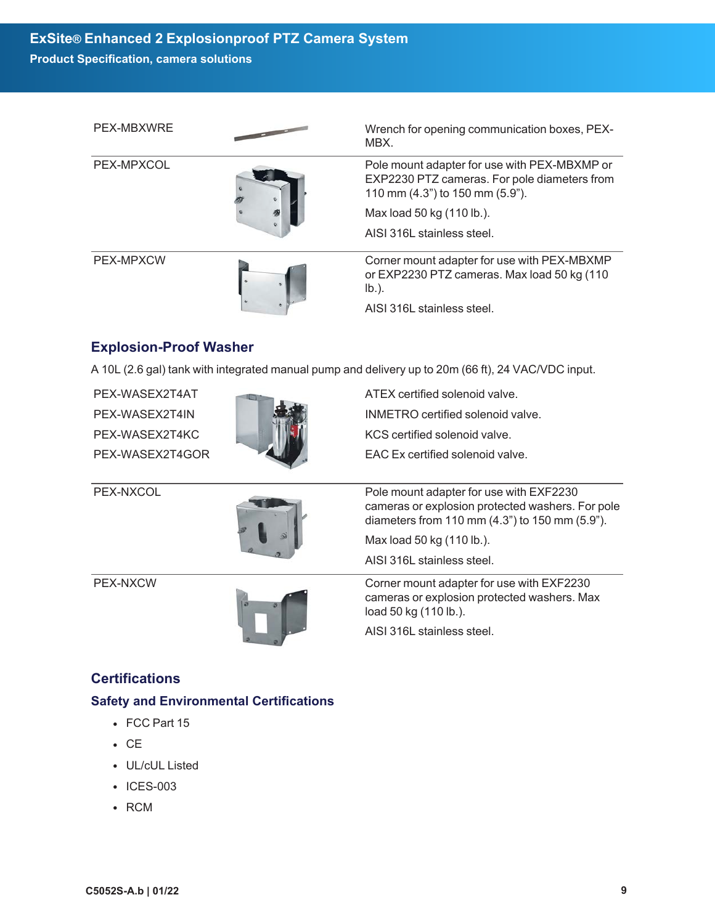| PEX-MBXWRE       |  | Wrench for opening communication boxes, PEX-<br>MBX.                                                                                     |  |  |
|------------------|--|------------------------------------------------------------------------------------------------------------------------------------------|--|--|
| PEX-MPXCOL       |  | Pole mount adapter for use with PEX-MBXMP or<br>EXP2230 PTZ cameras. For pole diameters from<br>110 mm (4.3") to 150 mm (5.9").          |  |  |
|                  |  | Max load 50 kg (110 lb.).                                                                                                                |  |  |
|                  |  | AISI 316L stainless steel.                                                                                                               |  |  |
| <b>PEX-MPXCW</b> |  | Corner mount adapter for use with PEX-MBXMP<br>or EXP2230 PTZ cameras. Max load 50 kg (110<br>$I\flat$ .).<br>AISI 316L stainless steel. |  |  |

## **Explosion-Proof Washer**

A 10L (2.6 gal) tank with integrated manual pump and delivery up to 20m (66 ft), 24 VAC/VDC input.

PEX-WASEX2T4AT PEX-WASEX2T4IN PEX-WASEX2T4KC PEX-WASEX2T4GOR



ATEX certified solenoid valve. INMETRO certified solenoid valve. KCS certified solenoid valve. EAC Ex certified solenoid valve.

Max load 50 kg (110 lb.). AISI 316L stainless steel.

load 50 kg (110 lb.).

AISI 316L stainless steel.

cameras or explosion protected washers. For pole diameters from 110 mm (4.3") to 150 mm (5.9").

cameras or explosion protected washers. Max



PEX-NXCW Corner mount adapter for use with EXF2230



## **Certifications**

## **Safety and Environmental Certifications**

- $\cdot$  FCC Part 15
- $\cdot$  CF
- UL/cUL Listed
- $\cdot$  ICES-003
- $\cdot$  RCM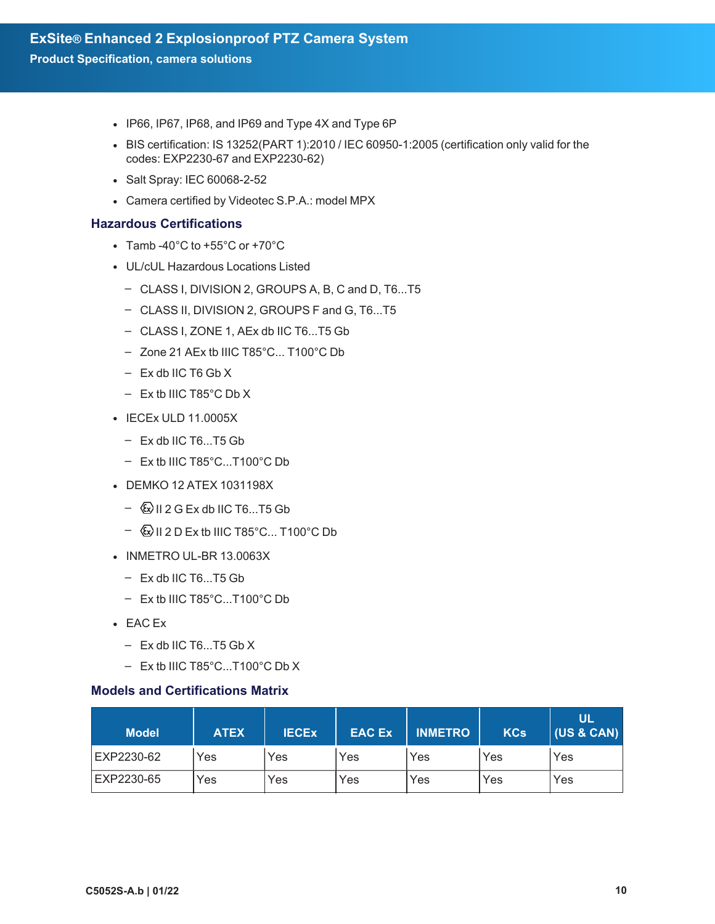- IP66, IP67, IP68, and IP69 and Type 4X and Type 6P
- BIS certification: IS 13252(PART 1):2010 / IEC 60950-1:2005 (certification only valid for the codes: EXP2230-67 and EXP2230-62)
- Salt Spray: IEC 60068-2-52
- Camera certified by Videotec S.P.A.: model MPX

#### **Hazardous Certifications**

- Tamb -40 $^{\circ}$ C to +55 $^{\circ}$ C or +70 $^{\circ}$ C
- UL/cUL Hazardous Locations Listed
	- CLASS I, DIVISION 2, GROUPS A, B, C and D, T6...T5
	- CLASS II, DIVISION 2, GROUPS F and G, T6...T5
	- CLASS I, ZONE 1, AEx db IIC T6...T5 Gb
	- Zone 21 AEx tb IIIC T85°C... T100°C Db
	- $-$  Ex db IIC T6 Gb X
	- Ex tb IIIC T85°C Db X
- IECEx ULD 11.0005X
	- Ex db IIC T6...T5 Gb
	- Ex tb IIIC T85°C...T100°C Db
- DEMKO 12 ATEX 1031198X
	- $\overline{\mathbb{Q}}$  II 2 G Ex db IIC T6...T5 Gb
	- $\textcircled{1}$  I 2 D Ex tb IIIC T85°C... T100°C Db
- $\cdot$  INMETRO UL-BR 13.0063X
	- Ex db IIC T6...T5 Gb
	- Ex tb IIIC T85°C...T100°C Db
- $\cdot$  EAC Ex
	- $-$  Ex db IIC T6...T5 Gb X
	- Ex tb IIIC T85°C...T100°C Db X

#### **Models and Certifications Matrix**

| <b>Model</b> | <b>ATEX</b> | <b>IECEX</b> | <b>EAC Ex</b> | <b>INMETRO</b> | <b>KCs</b> | UL<br>(US & CAN) |
|--------------|-------------|--------------|---------------|----------------|------------|------------------|
| EXP2230-62   | Yes         | Yes          | Yes           | Yes            | Yes        | Yes              |
| EXP2230-65   | Yes         | Yes          | Yes           | Yes            | Yes        | Yes              |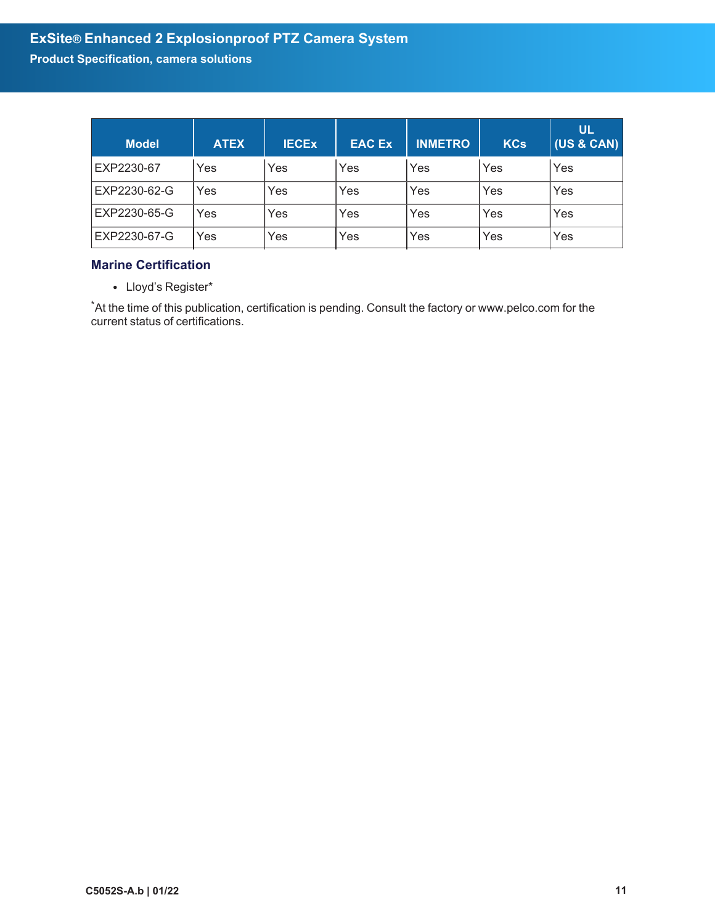| <b>Model</b> | <b>ATEX</b> | <b>IECEX</b> | <b>EAC Ex</b> | <b>INMETRO</b> | <b>KCs</b> | <b>UL</b><br>(US & CAN) |
|--------------|-------------|--------------|---------------|----------------|------------|-------------------------|
| EXP2230-67   | Yes         | Yes          | Yes           | Yes            | Yes        | Yes                     |
| EXP2230-62-G | Yes         | Yes          | Yes           | Yes            | Yes        | Yes                     |
| EXP2230-65-G | Yes         | Yes          | Yes           | Yes            | Yes        | Yes                     |
| EXP2230-67-G | Yes         | Yes          | Yes           | Yes            | Yes        | Yes                     |

## **Marine Certification**

• Lloyd's Register\*

\*At the time of this publication, certification is pending. Consult the factory or www.pelco.com for the current status of certifications.